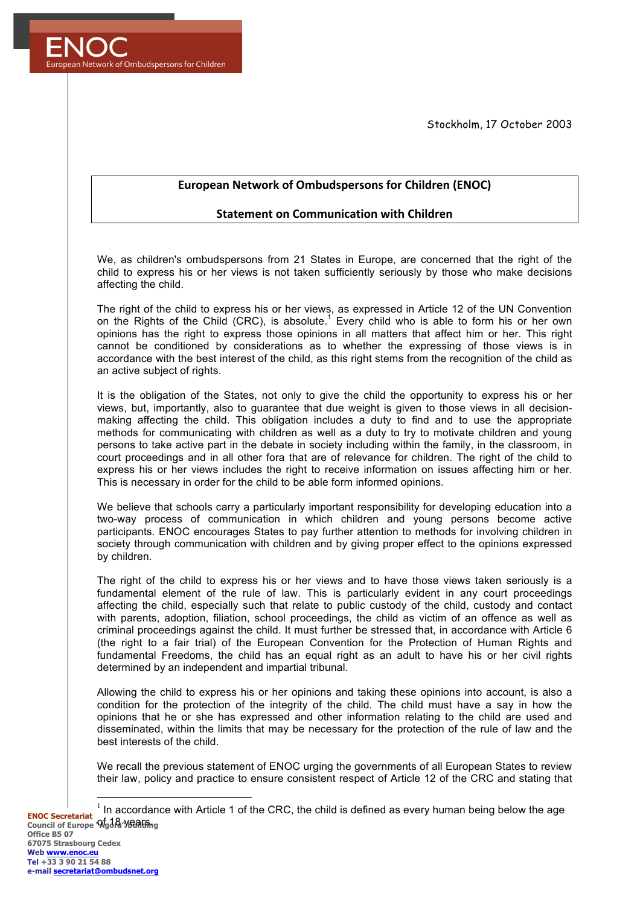Stockholm, 17 October 2003



## European Network of Ombudspersons for Children (ENOC)

## **Statement on Communication with Children**

We, as children's ombudspersons from 21 States in Europe, are concerned that the right of the child to express his or her views is not taken sufficiently seriously by those who make decisions affecting the child.

The right of the child to express his or her views, as expressed in Article 12 of the UN Convention on the Rights of the Child (CRC), is absolute.<sup>1</sup> Every child who is able to form his or her own opinions has the right to express those opinions in all matters that affect him or her. This right cannot be conditioned by considerations as to whether the expressing of those views is in accordance with the best interest of the child, as this right stems from the recognition of the child as an active subject of rights.

It is the obligation of the States, not only to give the child the opportunity to express his or her views, but, importantly, also to guarantee that due weight is given to those views in all decisionmaking affecting the child. This obligation includes a duty to find and to use the appropriate methods for communicating with children as well as a duty to try to motivate children and young persons to take active part in the debate in society including within the family, in the classroom, in court proceedings and in all other fora that are of relevance for children. The right of the child to express his or her views includes the right to receive information on issues affecting him or her. This is necessary in order for the child to be able form informed opinions.

We believe that schools carry a particularly important responsibility for developing education into a two-way process of communication in which children and young persons become active participants. ENOC encourages States to pay further attention to methods for involving children in society through communication with children and by giving proper effect to the opinions expressed by children.

The right of the child to express his or her views and to have those views taken seriously is a fundamental element of the rule of law. This is particularly evident in any court proceedings affecting the child, especially such that relate to public custody of the child, custody and contact with parents, adoption, filiation, school proceedings, the child as victim of an offence as well as criminal proceedings against the child. It must further be stressed that, in accordance with Article 6 (the right to a fair trial) of the European Convention for the Protection of Human Rights and fundamental Freedoms, the child has an equal right as an adult to have his or her civil rights determined by an independent and impartial tribunal.

Allowing the child to express his or her opinions and taking these opinions into account, is also a condition for the protection of the integrity of the child. The child must have a say in how the opinions that he or she has expressed and other information relating to the child are used and disseminated, within the limits that may be necessary for the protection of the rule of law and the best interests of the child.

We recall the previous statement of ENOC urging the governments of all European States to review their law, policy and practice to ensure consistent respect of Article 12 of the CRC and stating that

**ENOC Secretariat Council of Europe 'Agora' VERIGING**  $1$  In accordance with Article 1 of the CRC, the child is defined as every human being below the age